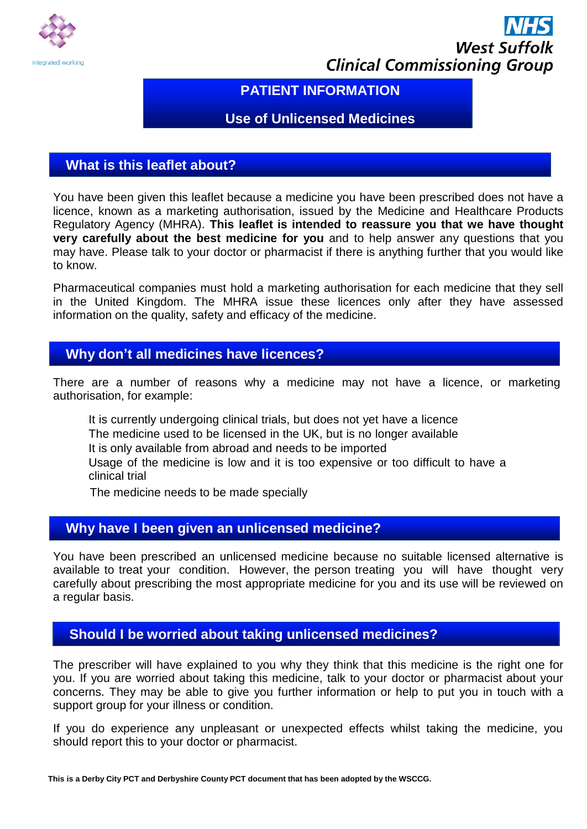

# **West Suffolk Clinical Commissioning Group**

# **PATIENT INFORMATION**

## **Use of Unlicensed Medicines**

#### **What is this leaflet about?**

You have been given this leaflet because a medicine you have been prescribed does not have a licence, known as a marketing authorisation, issued by the Medicine and Healthcare Products Regulatory Agency (MHRA). **This leaflet is intended to reassure you that we have thought very carefully about the best medicine for you** and to help answer any questions that you may have. Please talk to your doctor or pharmacist if there is anything further that you would like to know.

Pharmaceutical companies must hold a marketing authorisation for each medicine that they sell in the United Kingdom. The MHRA issue these licences only after they have assessed information on the quality, safety and efficacy of the medicine.

#### **Why don't all medicines have licences?**

There are a number of reasons why a medicine may not have a licence, or marketing authorisation, for example:

It is currently undergoing clinical trials, but does not yet have a licence The medicine used to be licensed in the UK, but is no longer available It is only available from abroad and needs to be imported Usage of the medicine is low and it is too expensive or too difficult to have a clinical trial

The medicine needs to be made specially

# **Why have I been given an unlicensed medicine?**

You have been prescribed an unlicensed medicine because no suitable licensed alternative is available to treat your condition. However, the person treating you will have thought very carefully about prescribing the most appropriate medicine for you and its use will be reviewed on a regular basis.

# **Should I be worried about taking unlicensed medicines?**

The prescriber will have explained to you why they think that this medicine is the right one for you. If you are worried about taking this medicine, talk to your doctor or pharmacist about your concerns. They may be able to give you further information or help to put you in touch with a support group for your illness or condition.

If you do experience any unpleasant or unexpected effects whilst taking the medicine, you should report this to your doctor or pharmacist.